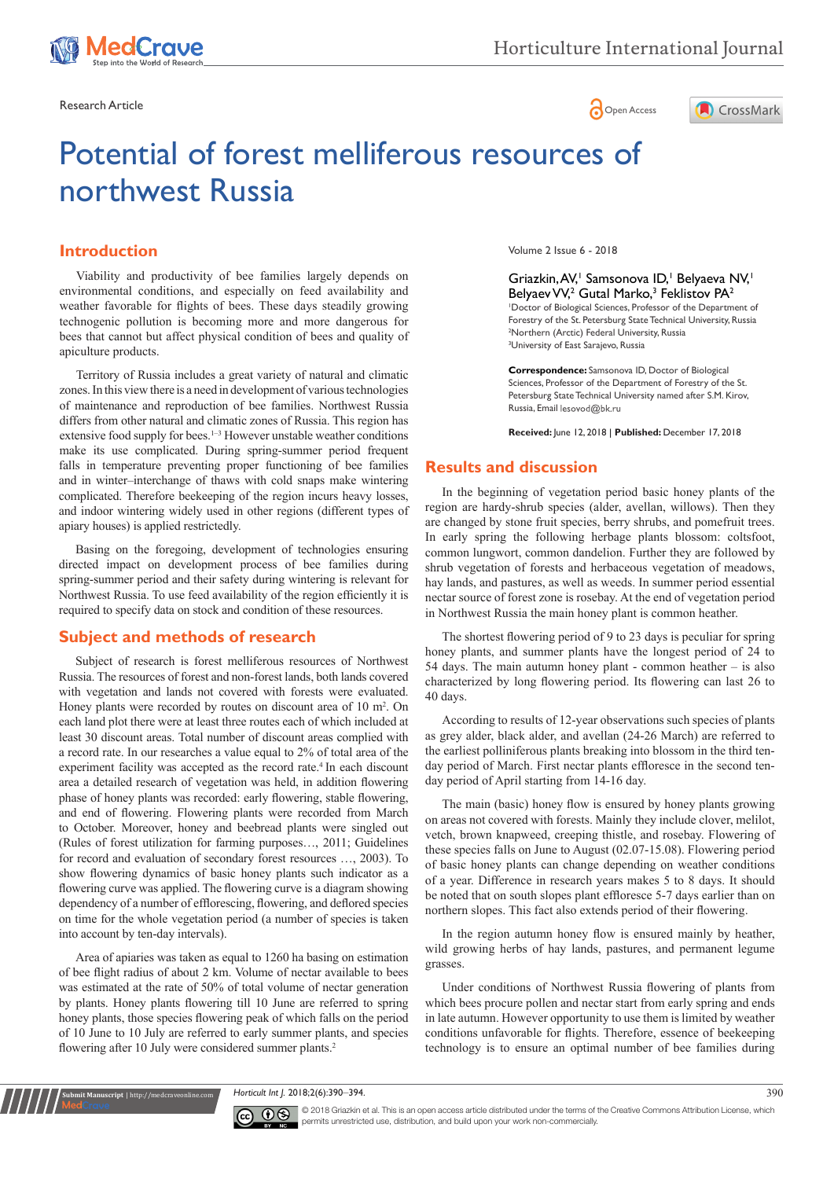

Research Article **Contracts and Contracts and Contracts and Contracts and Contracts and Contracts and Copen Access** 



# Potential of forest melliferous resources of northwest Russia

## **Introduction**

Viability and productivity of bee families largely depends on environmental conditions, and especially on feed availability and weather favorable for flights of bees. These days steadily growing technogenic pollution is becoming more and more dangerous for bees that cannot but affect physical condition of bees and quality of apiculture products.

falls in temperature preventing proper functioning of bee families and in winter–interchange of thaws with cold snaps make wintering complicated. Therefore beekeeping of the region incurs heavy losses, and indoor wintering widely used in other regions (different types of apiary houses) is applied restrictedly. Territory of Russia includes a great variety of natural and climatic zones. In this view there is a need in development of various technologies of maintenance and reproduction of bee families. Northwest Russia differs from other natural and climatic zones of Russia. This region has extensive food supply for bees.<sup>1-3</sup> However unstable weather conditions make its use complicated. During spring-summer period frequent

Basing on the foregoing, development of technologies ensuring directed impact on development process of bee families during spring-summer period and their safety during wintering is relevant for Northwest Russia. To use feed availability of the region efficiently it is required to specify data on stock and condition of these resources.

## **Subject and methods of research**

Subject of research is forest melliferous resources of Northwest Russia. The resources of forest and non-forest lands, both lands covered with vegetation and lands not covered with forests were evaluated. Honey plants were recorded by routes on discount area of 10 m<sup>2</sup>. On each land plot there were at least three routes each of which included at least 30 discount areas. Total number of discount areas complied with a record rate. In our researches a value equal to 2% of total area of the experiment facility was accepted as the record rate.<sup>4</sup> In each discount area a detailed research of vegetation was held, in addition flowering phase of honey plants was recorded: early flowering, stable flowering, and end of flowering. Flowering plants were recorded from March to October. Moreover, honey and beebread plants were singled out (Rules of forest utilization for farming purposes…, 2011; Guidelines for record and evaluation of secondary forest resources …, 2003). To show flowering dynamics of basic honey plants such indicator as a flowering curve was applied. The flowering curve is a diagram showing dependency of a number of efflorescing, flowering, and deflored species on time for the whole vegetation period (a number of species is taken into account by ten-day intervals).

Area of apiaries was taken as equal to 1260 ha basing on estimation of bee flight radius of about 2 km. Volume of nectar available to bees was estimated at the rate of 50% of total volume of nectar generation by plants. Honey plants flowering till 10 June are referred to spring honey plants, those species flowering peak of which falls on the period of 10 June to 10 July are referred to early summer plants, and species flowering after 10 July were considered summer plants.<sup>2</sup>

**it Manuscript** | http://medcraveonline.c

Volume 2 Issue 6 - 2018

Griazkin, AV,<sup>1</sup> Samsonova ID,<sup>1</sup> Belyaeva NV,<sup>1</sup> Belyaev VV,<sup>2</sup> Gutal Marko,<sup>3</sup> Feklistov PA<sup>2</sup> 1 Doctor of Biological Sciences, Professor of the Department of Forestry of the St. Petersburg State Technical University, Russia 2 Northern (Arctic) Federal University, Russia 3 University of East Sarajevo, Russia

**Correspondence:** Samsonova ID, Doctor of Biological Sciences, Professor of the Department of Forestry of the St. Petersburg State Technical University named after S.M. Kirov, Russia, Email lesovod@bk.ru

**Received:** June 12, 2018 | **Published:** December 17, 2018

## **Results and discussion**

In the beginning of vegetation period basic honey plants of the region are hardy-shrub species (alder, avellan, willows). Then they are changed by stone fruit species, berry shrubs, and pomefruit trees. In early spring the following herbage plants blossom: coltsfoot, common lungwort, common dandelion. Further they are followed by shrub vegetation of forests and herbaceous vegetation of meadows, hay lands, and pastures, as well as weeds. In summer period essential nectar source of forest zone is rosebay. At the end of vegetation period in Northwest Russia the main honey plant is common heather.

The shortest flowering period of 9 to 23 days is peculiar for spring honey plants, and summer plants have the longest period of 24 to 54 days. The main autumn honey plant - common heather – is also characterized by long flowering period. Its flowering can last 26 to 40 days.

According to results of 12-year observations such species of plants as grey alder, black alder, and avellan (24-26 March) are referred to the earliest polliniferous plants breaking into blossom in the third tenday period of March. First nectar plants effloresce in the second tenday period of April starting from 14-16 day.

The main (basic) honey flow is ensured by honey plants growing on areas not covered with forests. Mainly they include clover, melilot, vetch, brown knapweed, creeping thistle, and rosebay. Flowering of these species falls on June to August (02.07-15.08). Flowering period of basic honey plants can change depending on weather conditions of a year. Difference in research years makes 5 to 8 days. It should be noted that on south slopes plant effloresce 5-7 days earlier than on northern slopes. This fact also extends period of their flowering.

In the region autumn honey flow is ensured mainly by heather, wild growing herbs of hay lands, pastures, and permanent legume grasses.

Under conditions of Northwest Russia flowering of plants from which bees procure pollen and nectar start from early spring and ends in late autumn. However opportunity to use them is limited by weather conditions unfavorable for flights. Therefore, essence of beekeeping technology is to ensure an optimal number of bee families during

*Horticult Int J.* 2018;2(6):390‒394. 390



© 2018 Griazkin et al. This is an open access article distributed under the terms of the [Creative Commons Attribution License,](https://creativecommons.org/licenses/by-nc/4.0/) which permits unrestricted use, distribution, and build upon your work non-commercially.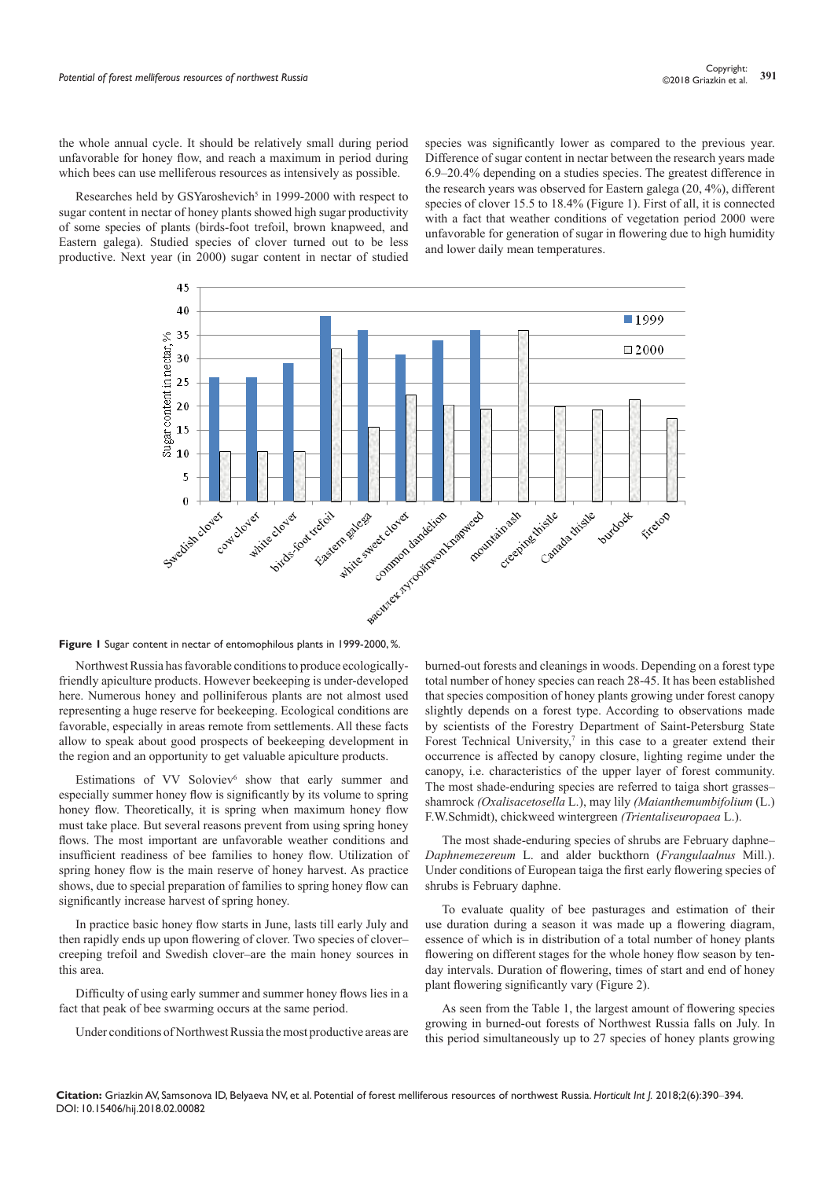the whole annual cycle. It should be relatively small during period unfavorable for honey flow, and reach a maximum in period during which bees can use melliferous resources as intensively as possible.

Researches held by GSYaroshevich<sup>5</sup> in 1999-2000 with respect to sugar content in nectar of honey plants showed high sugar productivity of some species of plants (birds-foot trefoil, brown knapweed, and Eastern galega). Studied species of clover turned out to be less productive. Next year (in 2000) sugar content in nectar of studied

species was significantly lower as compared to the previous year. Difference of sugar content in nectar between the research years made 6.9–20.4% depending on a studies species. The greatest difference in the research years was observed for Eastern galega (20, 4%), different species of clover 15.5 to 18.4% (Figure 1). First of all, it is connected with a fact that weather conditions of vegetation period 2000 were unfavorable for generation of sugar in flowering due to high humidity and lower daily mean temperatures.



**Figure 1** Sugar content in nectar of entomophilous plants in 1999-2000, %.

Northwest Russia has favorable conditions to produce ecologicallyfriendly apiculture products. However beekeeping is under-developed here. Numerous honey and polliniferous plants are not almost used representing a huge reserve for beekeeping. Ecological conditions are favorable, especially in areas remote from settlements. All these facts allow to speak about good prospects of beekeeping development in the region and an opportunity to get valuable apiculture products.

Estimations of VV Soloviev<sup>6</sup> show that early summer and especially summer honey flow is significantly by its volume to spring honey flow. Theoretically, it is spring when maximum honey flow must take place. But several reasons prevent from using spring honey flows. The most important are unfavorable weather conditions and insufficient readiness of bee families to honey flow. Utilization of spring honey flow is the main reserve of honey harvest. As practice shows, due to special preparation of families to spring honey flow can significantly increase harvest of spring honey.

In practice basic honey flow starts in June, lasts till early July and then rapidly ends up upon flowering of clover. Two species of clover– creeping trefoil and Swedish clover–are the main honey sources in this area.

Difficulty of using early summer and summer honey flows lies in a fact that peak of bee swarming occurs at the same period.

Under conditions of Northwest Russia the most productive areas are

burned-out forests and cleanings in woods. Depending on a forest type total number of honey species can reach 28-45. It has been established that species composition of honey plants growing under forest canopy slightly depends on a forest type. According to observations made by scientists of the Forestry Department of Saint-Petersburg State Forest Technical University, $\bar{y}$  in this case to a greater extend their occurrence is affected by canopy closure, lighting regime under the canopy, i.e. characteristics of the upper layer of forest community. The most shade-enduring species are referred to taiga short grasses– shamrock *(Oxalisacetosella* L.), may lily *(Maianthemumbifolium* (L.) F.W.Schmidt), chickweed wintergreen *(Trientaliseuropaea* L.).

The most shade-enduring species of shrubs are February daphne– *Daphnemezereum* L. and alder buckthorn (*Frangulaalnus* Mill.). Under conditions of European taiga the first early flowering species of shrubs is February daphne.

To evaluate quality of bee pasturages and estimation of their use duration during a season it was made up a flowering diagram, essence of which is in distribution of a total number of honey plants flowering on different stages for the whole honey flow season by tenday intervals. Duration of flowering, times of start and end of honey plant flowering significantly vary (Figure 2).

As seen from the Table 1, the largest amount of flowering species growing in burned-out forests of Northwest Russia falls on July. In this period simultaneously up to 27 species of honey plants growing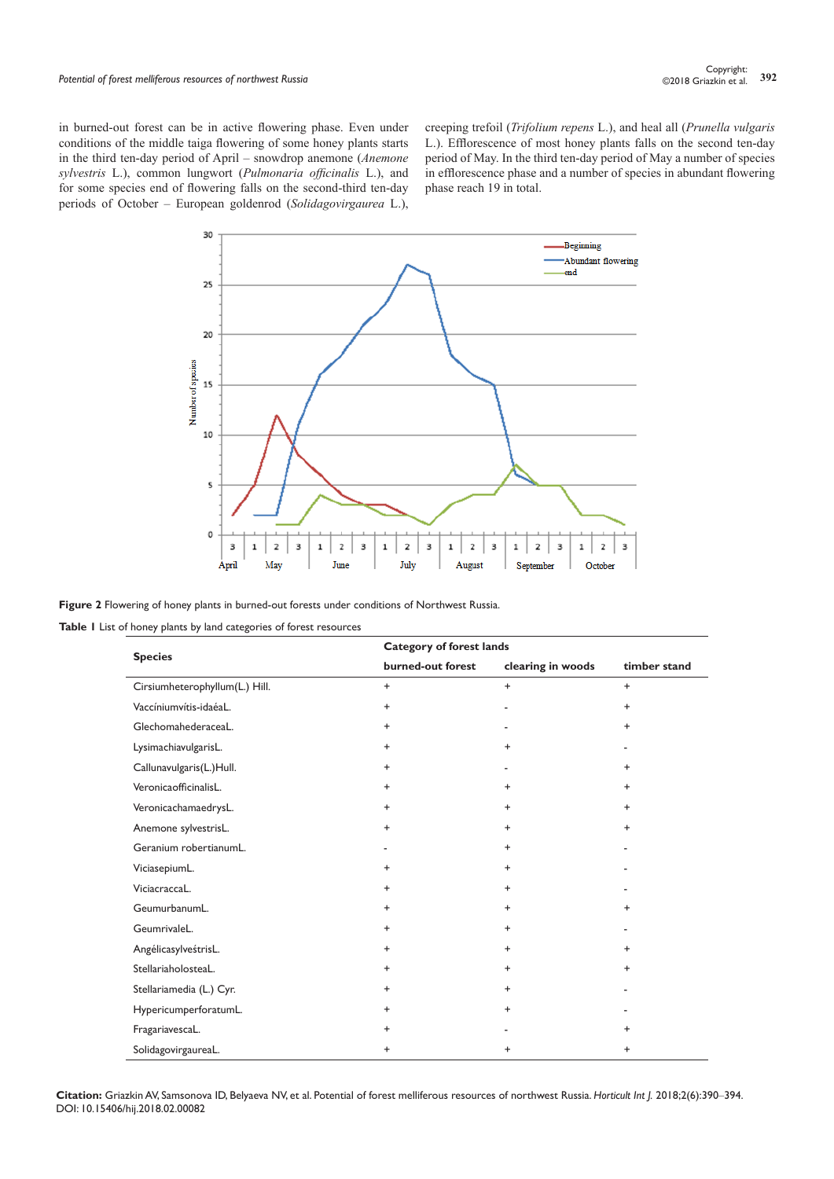in burned-out forest can be in active flowering phase. Even under conditions of the middle taiga flowering of some honey plants starts in the third ten-day period of April – snowdrop anemone (*Anemone sylvestris* L.), common lungwort (*Pulmonaria officinalis* L.), and for some species end of flowering falls on the second-third ten-day periods of October – European goldenrod (*Solidagovirgaurea* L.),

creeping trefoil (*Trifolium repens* L.), and heal all (*Prunella vulgaris* L.). Efflorescence of most honey plants falls on the second ten-day period of May. In the third ten-day period of May a number of species in efflorescence phase and a number of species in abundant flowering phase reach 19 in total.



**Figure 2** Flowering of honey plants in burned-out forests under conditions of Northwest Russia.

**Table 1** List of honey plants by land categories of forest resources

| <b>Species</b><br>burned-out forest | <b>Category of forest lands</b> |              |                          |
|-------------------------------------|---------------------------------|--------------|--------------------------|
|                                     | clearing in woods               | timber stand |                          |
| Cirsiumheterophyllum(L.) Hill.      | $\ddot{}$                       | $+$          | $\ddot{}$                |
| Vaccíniumvítis-idaéaL.              | $+$                             | ٠            | $\ddot{}$                |
| GlechomahederaceaL.                 | $\ddot{}$                       |              | $\ddot{}$                |
| LysimachiavulgarisL.                | $+$                             | $\ddot{}$    | $\overline{\phantom{a}}$ |
| Callunavulgaris(L.)Hull.            | $+$                             |              | $\ddot{}$                |
| VeronicaofficinalisL.               | $\ddot{}$                       | $\ddot{}$    | $\ddot{}$                |
| VeronicachamaedrysL.                | $\ddot{}$                       | $\ddot{}$    | $\ddot{}$                |
| Anemone sylvestrisL.                | $\ddot{}$                       | $\ddot{}$    | $\ddot{}$                |
| Geranium robertianumL.              |                                 | $\ddot{}$    |                          |
| ViciasepiumL.                       | $\ddot{}$                       | $\ddot{}$    |                          |
| ViciacraccaL.                       | $\ddot{}$                       | $\ddot{}$    |                          |
| GeumurbanumL.                       | $\ddot{}$                       | $\ddot{}$    | $\ddot{}$                |
| GeumrivaleL.                        | $+$                             | $\ddot{}$    | ٠                        |
| AngélicasylveśtrisL.                | $\ddot{}$                       | $\ddot{}$    | $\ddot{}$                |
| StellariaholosteaL.                 | $\ddot{}$                       | $\ddot{}$    | $\ddot{}$                |
| Stellariamedia (L.) Cyr.            | $\ddot{}$                       | $\ddot{}$    |                          |
| HypericumperforatumL.               | $\ddot{}$                       | $\ddot{}$    |                          |
| FragariavescaL.                     | $\ddot{}$                       |              | $\ddot{}$                |
| SolidagovirgaureaL.                 | $\ddot{}$                       | $\ddot{}$    | $\ddot{}$                |

**Citation:** Griazkin AV, Samsonova ID, Belyaeva NV, et al. Potential of forest melliferous resources of northwest Russia. *Horticult Int J.* 2018;2(6):390‒394. DOI: [10.15406/hij.2018.02.00082](https://doi.org/10.15406/hij.2018.02.00082)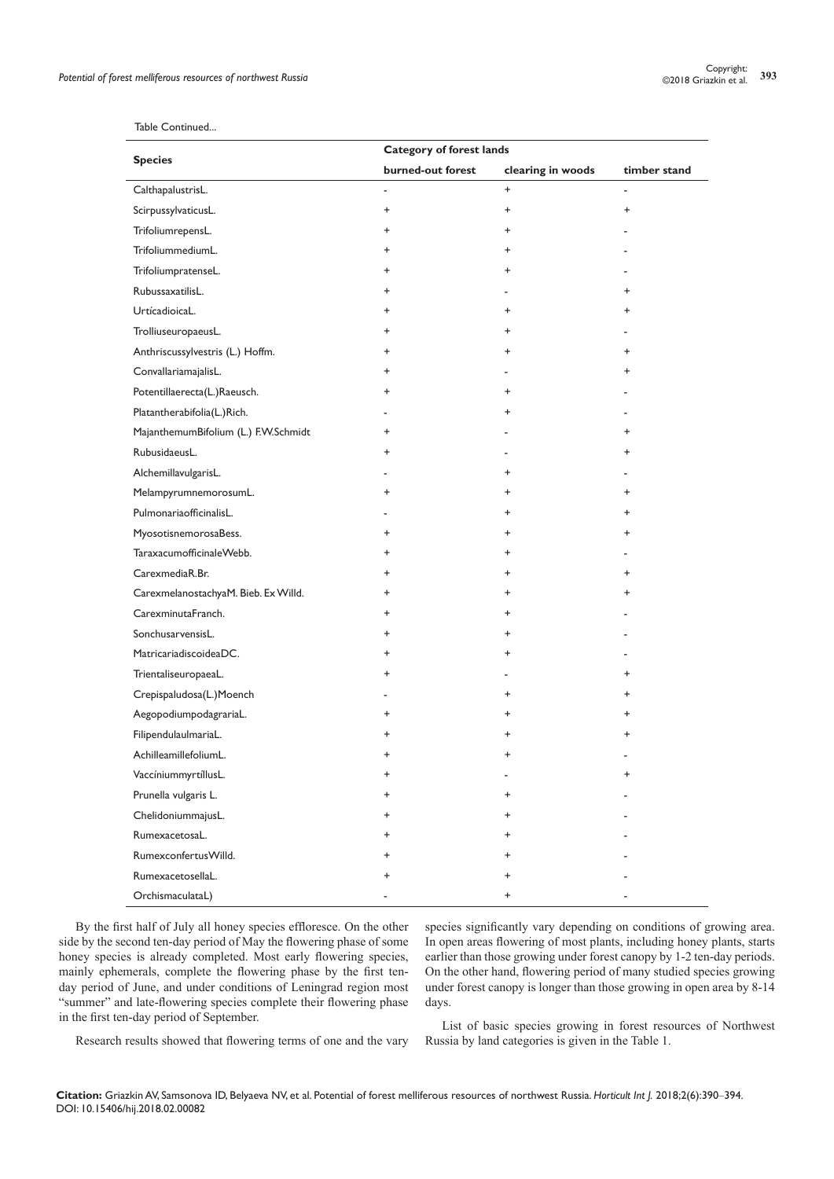| <b>Species</b>                       | <b>Category of forest lands</b> |                   |                          |
|--------------------------------------|---------------------------------|-------------------|--------------------------|
|                                      | burned-out forest               | clearing in woods | timber stand             |
| CalthapalustrisL.                    |                                 | $\ddot{}$         | $\overline{\phantom{a}}$ |
| ScirpussylvaticusL.                  | $\ddot{}$                       | +                 | $\ddot{}$                |
| TrifoliumrepensL.                    | $\ddot{}$                       | $\ddot{}$         |                          |
| TrifoliummediumL.                    | $\ddot{}$                       | $\ddot{}$         |                          |
| TrifoliumpratenseL.                  | $\ddot{}$                       | $\ddot{}$         |                          |
| RubussaxatilisL.                     | $\ddot{}$                       |                   | $\ddot{}$                |
| UrtícadioicaL.                       | ÷                               | +                 | $\ddot{}$                |
| TrolliuseuropaeusL.                  | $\ddot{}$                       | +                 |                          |
| Anthriscussylvestris (L.) Hoffm.     | $\ddot{}$                       | $\ddot{}$         | $\ddot{}$                |
| ConvallariamajalisL.                 | $\ddot{}$                       |                   | $\ddot{}$                |
| Potentillaerecta(L.)Raeusch.         | $\ddot{}$                       | +                 |                          |
| Platantherabifolia(L.)Rich.          |                                 | +                 |                          |
| MajanthemumBifolium (L.) F.W.Schmidt | $\ddot{}$                       |                   | $\ddot{}$                |
| RubusidaeusL.                        | $\ddot{}$                       |                   | $\ddot{}$                |
| AlchemillavulgarisL.                 |                                 | +                 |                          |
| MelampyrumnemorosumL.                | ÷                               | +                 | $\ddot{}$                |
| PulmonariaofficinalisL.              |                                 | +                 | $\ddot{}$                |
| MyosotisnemorosaBess.                | $\ddot{}$                       | +                 | $\ddot{}$                |
| TaraxacumofficinaleWebb.             | $\ddot{}$                       | $\ddot{}$         |                          |
| CarexmediaR.Br.                      | ÷                               | $\ddot{}$         | $\ddot{}$                |
| CarexmelanostachyaM. Bieb. Ex Willd. | $\ddot{}$                       | +                 | +                        |
| CarexminutaFranch.                   | ÷                               | +                 |                          |
| SonchusarvensisL.                    | $\ddot{}$                       | +                 |                          |
| MatricariadiscoideaDC.               | $\ddot{}$                       | +                 |                          |
| TrientaliseuropaeaL.                 | ÷                               |                   | +                        |
| Crepispaludosa(L.)Moench             |                                 | +                 | $\ddot{}$                |
| AegopodiumpodagrariaL.               | ÷                               | +                 | $\ddot{}$                |
| FilipendulaulmariaL.                 | $\ddot{}$                       | $\pmb{+}$         | $\ddot{}$                |
| AchilleamillefoliumL.                | $\ddot{}$                       | $\ddot{}$         |                          |
| VaccíniummyrtíllusL.                 | $\ddot{}$                       |                   | +                        |
| Prunella vulgaris L.                 | +                               | +                 |                          |
| ChelidoniummajusL.                   | $\pm$                           | $\ddot{}$         |                          |
| RumexacetosaL.                       | $\ddot{}$                       | +                 |                          |
| RumexconfertusWilld.                 | $\ddot{}$                       | $\ddot{}$         |                          |
| RumexacetosellaL.                    | ÷                               | +                 |                          |
| OrchismaculataL)                     |                                 | +                 |                          |

### Table Continued...

J.

By the first half of July all honey species effloresce. On the other side by the second ten-day period of May the flowering phase of some honey species is already completed. Most early flowering species, mainly ephemerals, complete the flowering phase by the first tenday period of June, and under conditions of Leningrad region most "summer" and late-flowering species complete their flowering phase in the first ten-day period of September.

species significantly vary depending on conditions of growing area. In open areas flowering of most plants, including honey plants, starts earlier than those growing under forest canopy by 1-2 ten-day periods. On the other hand, flowering period of many studied species growing under forest canopy is longer than those growing in open area by 8-14 days.

Research results showed that flowering terms of one and the vary

List of basic species growing in forest resources of Northwest Russia by land categories is given in the Table 1.

**Citation:** Griazkin AV, Samsonova ID, Belyaeva NV, et al. Potential of forest melliferous resources of northwest Russia. *Horticult Int J.* 2018;2(6):390‒394. DOI: [10.15406/hij.2018.02.00082](https://doi.org/10.15406/hij.2018.02.00082)